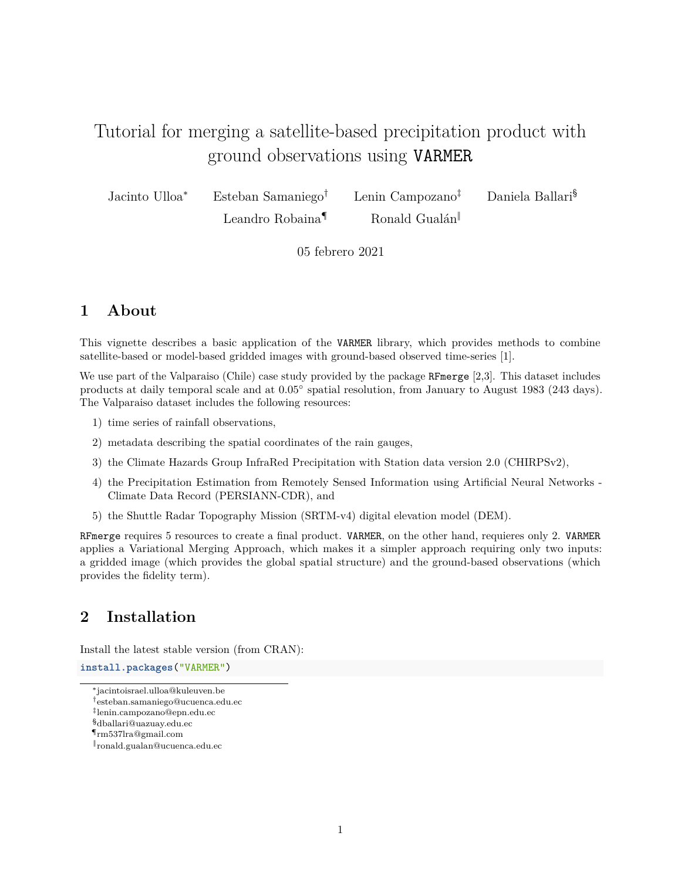# Tutorial for merging a satellite-based precipitation product with ground observations using VARMER

Jacinto Ulloa<sup>∗</sup> Esteban Samaniego† Lenin Campozano‡ Daniela Ballari§

Leandro Robaina<sup>¶</sup> Ronald Gualán

05 febrero 2021

# **1 About**

This vignette describes a basic application of the VARMER library, which provides methods to combine satellite-based or model-based gridded images with ground-based observed time-series [1].

We use part of the Valparaiso (Chile) case study provided by the package RFmerge [2,3]. This dataset includes products at daily temporal scale and at  $0.05^{\circ}$  spatial resolution, from January to August 1983 (243 days). The Valparaiso dataset includes the following resources:

- 1) time series of rainfall observations,
- 2) metadata describing the spatial coordinates of the rain gauges,
- 3) the Climate Hazards Group InfraRed Precipitation with Station data version 2.0 (CHIRPSv2),
- 4) the Precipitation Estimation from Remotely Sensed Information using Artificial Neural Networks Climate Data Record (PERSIANN-CDR), and
- 5) the Shuttle Radar Topography Mission (SRTM-v4) digital elevation model (DEM).

RFmerge requires 5 resources to create a final product. VARMER, on the other hand, requieres only 2. VARMER applies a Variational Merging Approach, which makes it a simpler approach requiring only two inputs: a gridded image (which provides the global spatial structure) and the ground-based observations (which provides the fidelity term).

# **2 Installation**

Install the latest stable version (from CRAN):

**install.packages**("VARMER")

<sup>∗</sup> [jacintoisrael.ulloa@kuleuven.be](mailto:jacintoisrael.ulloa@kuleuven.be)

<sup>†</sup>[esteban.samaniego@ucuenca.edu.ec](mailto:esteban.samaniego@ucuenca.edu.ec)

<sup>‡</sup> [lenin.campozano@epn.edu.ec](mailto:lenin.campozano@epn.edu.ec)

<sup>§</sup>[dballari@uazuay.edu.ec](mailto:dballari@uazuay.edu.ec)

<sup>¶</sup>[rm537lra@gmail.com](mailto:rm537lra@gmail.com)

<sup>‖</sup> [ronald.gualan@ucuenca.edu.ec](mailto:ronald.gualan@ucuenca.edu.ec)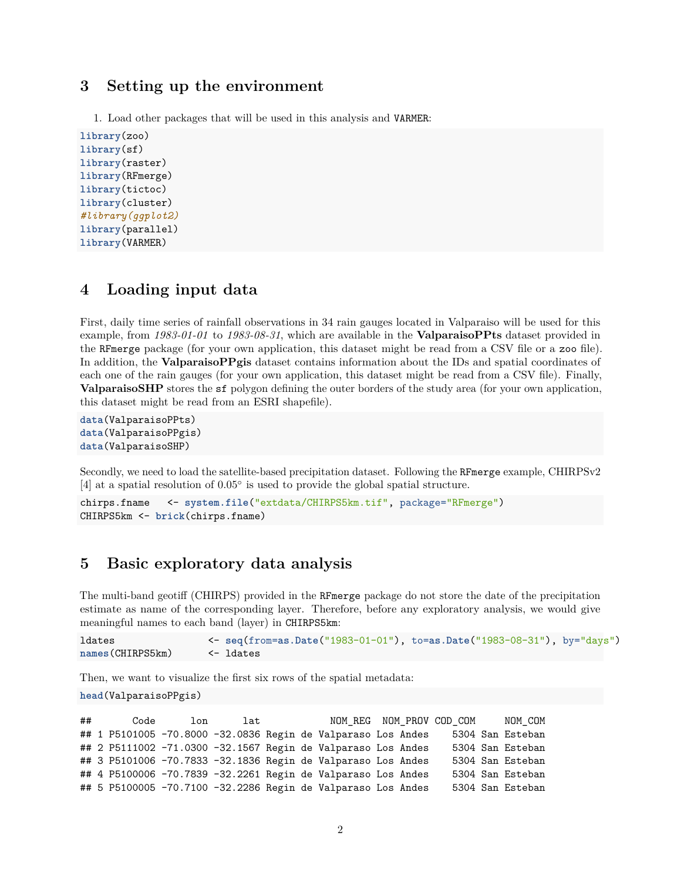### **3 Setting up the environment**

1. Load other packages that will be used in this analysis and VARMER:

```
library(zoo)
library(sf)
library(raster)
library(RFmerge)
library(tictoc)
library(cluster)
#library(ggplot2)
library(parallel)
library(VARMER)
```
### **4 Loading input data**

First, daily time series of rainfall observations in 34 rain gauges located in Valparaiso will be used for this example, from *1983-01-01* to *1983-08-31*, which are available in the **ValparaisoPPts** dataset provided in the RFmerge package (for your own application, this dataset might be read from a CSV file or a zoo file). In addition, the **ValparaisoPPgis** dataset contains information about the IDs and spatial coordinates of each one of the rain gauges (for your own application, this dataset might be read from a CSV file). Finally, **ValparaisoSHP** stores the sf polygon defining the outer borders of the study area (for your own application, this dataset might be read from an ESRI shapefile).

```
data(ValparaisoPPts)
data(ValparaisoPPgis)
data(ValparaisoSHP)
```
Secondly, we need to load the satellite-based precipitation dataset. Following the RFmerge example, CHIRPSv2 [4] at a spatial resolution of 0*.*05◦ is used to provide the global spatial structure.

```
chirps.fname <- system.file("extdata/CHIRPS5km.tif", package="RFmerge")
CHIRPS5km <- brick(chirps.fname)
```
## **5 Basic exploratory data analysis**

The multi-band geotiff (CHIRPS) provided in the RFmerge package do not store the date of the precipitation estimate as name of the corresponding layer. Therefore, before any exploratory analysis, we would give meaningful names to each band (layer) in CHIRPS5km:

```
ldates <- seq(from=as.Date("1983-01-01"), to=as.Date("1983-08-31"), by="days")
names(CHIRPS5km) <- ldates
```
Then, we want to visualize the first six rows of the spatial metadata:

```
head(ValparaisoPPgis)
```
## Code lon lat NOM\_REG NOM\_PROV COD\_COM NOM\_COM ## 1 P5101005 -70.8000 -32.0836 Regin de Valparaso Los Andes 5304 San Esteban ## 2 P5111002 -71.0300 -32.1567 Regin de Valparaso Los Andes 5304 San Esteban ## 3 P5101006 -70.7833 -32.1836 Regin de Valparaso Los Andes 5304 San Esteban ## 4 P5100006 -70.7839 -32.2261 Regin de Valparaso Los Andes 5304 San Esteban ## 5 P5100005 -70.7100 -32.2286 Regin de Valparaso Los Andes 5304 San Esteban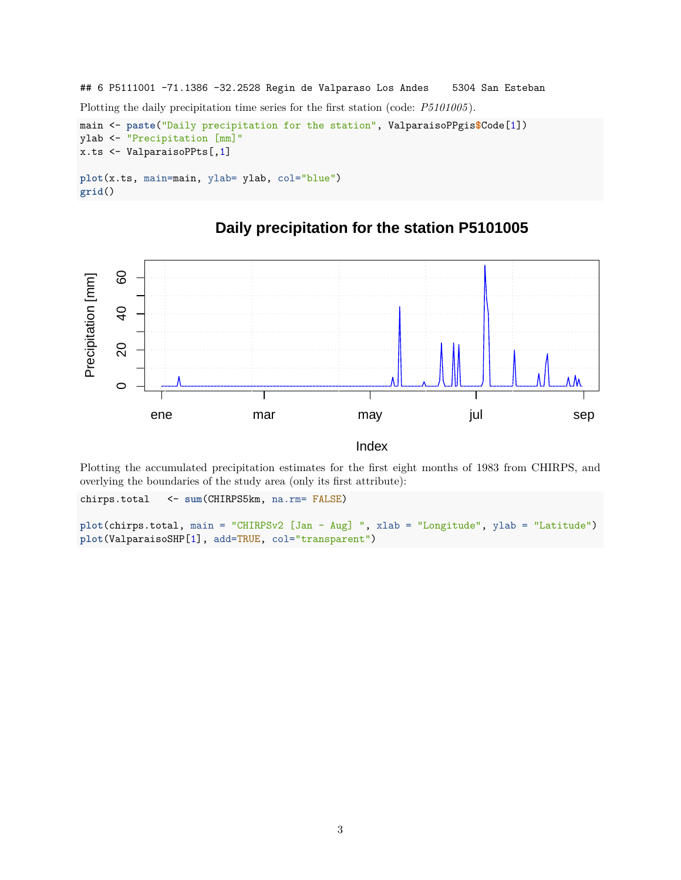```
## 6 P5111001 -71.1386 -32.2528 Regin de Valparaso Los Andes 5304 San Esteban
Plotting the daily precipitation time series for the first station (code: P5101005 ).
main <- paste("Daily precipitation for the station", ValparaisoPPgis$Code[1])
ylab <- "Precipitation [mm]"
x.ts <- ValparaisoPPts[,1]
plot(x.ts, main=main, ylab= ylab, col="blue")
grid()
```


# **Daily precipitation for the station P5101005**

Index

Plotting the accumulated precipitation estimates for the first eight months of 1983 from CHIRPS, and overlying the boundaries of the study area (only its first attribute):

chirps.total <- **sum**(CHIRPS5km, na.rm= FALSE)

```
plot(chirps.total, main = "CHIRPSv2 [Jan - Aug] ", xlab = "Longitude", ylab = "Latitude")
plot(ValparaisoSHP[1], add=TRUE, col="transparent")
```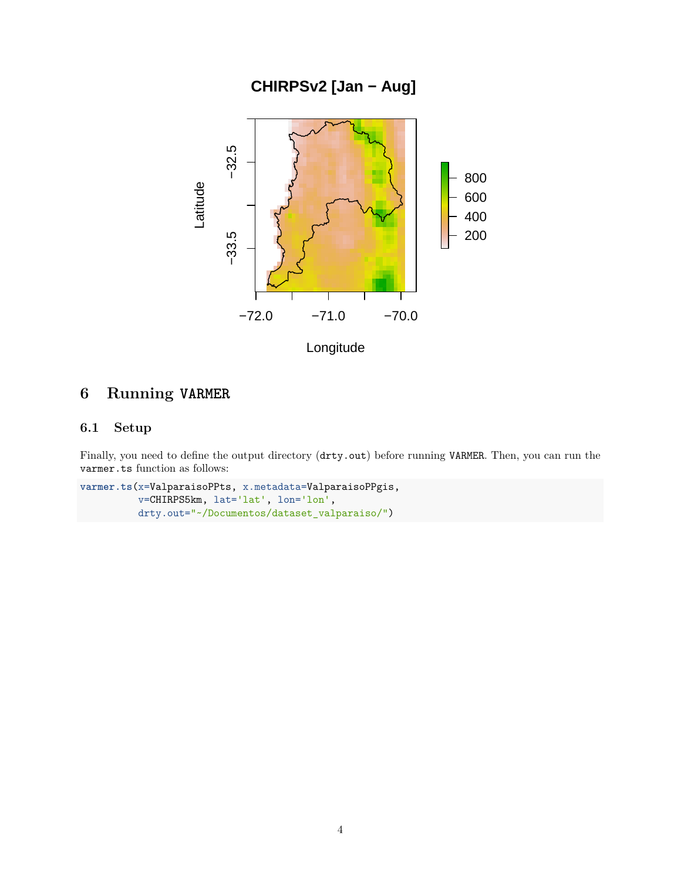**CHIRPSv2 [Jan − Aug]** 



# **6 Running VARMER**

### **6.1 Setup**

Finally, you need to define the output directory (drty.out) before running VARMER. Then, you can run the varmer.ts function as follows:

```
varmer.ts(x=ValparaisoPPts, x.metadata=ValparaisoPPgis,
          v=CHIRPS5km, lat='lat', lon='lon',
          drty.out="~/Documentos/dataset_valparaiso/")
```